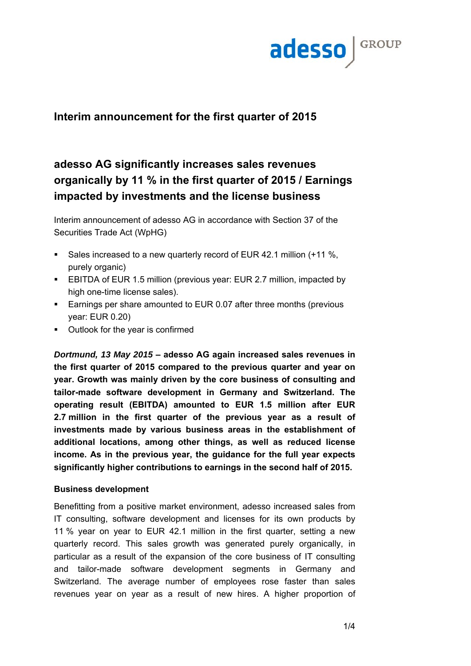

# **Interim announcement for the first quarter of 2015**

# **adesso AG significantly increases sales revenues organically by 11 % in the first quarter of 2015 / Earnings impacted by investments and the license business**

Interim announcement of adesso AG in accordance with Section 37 of the Securities Trade Act (WpHG)

- Sales increased to a new quarterly record of EUR 42.1 million (+11 %, purely organic)
- EBITDA of EUR 1.5 million (previous year: EUR 2.7 million, impacted by high one-time license sales).
- **Earnings per share amounted to EUR 0.07 after three months (previous** year: EUR 0.20)
- Outlook for the year is confirmed

*Dortmund, 13 May 2015* **– adesso AG again increased sales revenues in the first quarter of 2015 compared to the previous quarter and year on year. Growth was mainly driven by the core business of consulting and tailor-made software development in Germany and Switzerland. The operating result (EBITDA) amounted to EUR 1.5 million after EUR 2.7 million in the first quarter of the previous year as a result of investments made by various business areas in the establishment of additional locations, among other things, as well as reduced license income. As in the previous year, the guidance for the full year expects significantly higher contributions to earnings in the second half of 2015.**

# **Business development**

Benefitting from a positive market environment, adesso increased sales from IT consulting, software development and licenses for its own products by 11 % year on year to EUR 42.1 million in the first quarter, setting a new quarterly record. This sales growth was generated purely organically, in particular as a result of the expansion of the core business of IT consulting and tailor-made software development segments in Germany and Switzerland. The average number of employees rose faster than sales revenues year on year as a result of new hires. A higher proportion of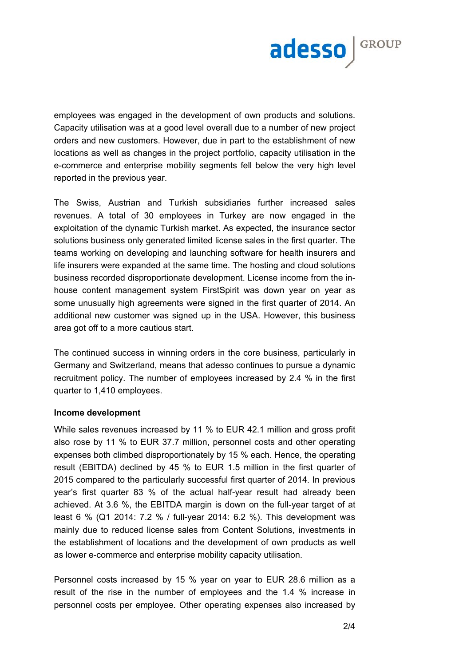

employees was engaged in the development of own products and solutions. Capacity utilisation was at a good level overall due to a number of new project orders and new customers. However, due in part to the establishment of new locations as well as changes in the project portfolio, capacity utilisation in the e-commerce and enterprise mobility segments fell below the very high level reported in the previous year.

The Swiss, Austrian and Turkish subsidiaries further increased sales revenues. A total of 30 employees in Turkey are now engaged in the exploitation of the dynamic Turkish market. As expected, the insurance sector solutions business only generated limited license sales in the first quarter. The teams working on developing and launching software for health insurers and life insurers were expanded at the same time. The hosting and cloud solutions business recorded disproportionate development. License income from the inhouse content management system FirstSpirit was down year on year as some unusually high agreements were signed in the first quarter of 2014. An additional new customer was signed up in the USA. However, this business area got off to a more cautious start.

The continued success in winning orders in the core business, particularly in Germany and Switzerland, means that adesso continues to pursue a dynamic recruitment policy. The number of employees increased by 2.4 % in the first quarter to 1,410 employees.

#### **Income development**

While sales revenues increased by 11 % to EUR 42.1 million and gross profit also rose by 11 % to EUR 37.7 million, personnel costs and other operating expenses both climbed disproportionately by 15 % each. Hence, the operating result (EBITDA) declined by 45 % to EUR 1.5 million in the first quarter of 2015 compared to the particularly successful first quarter of 2014. In previous year's first quarter 83 % of the actual half-year result had already been achieved. At 3.6 %, the EBITDA margin is down on the full-year target of at least 6 % (Q1 2014: 7.2 % / full-year 2014: 6.2 %). This development was mainly due to reduced license sales from Content Solutions, investments in the establishment of locations and the development of own products as well as lower e-commerce and enterprise mobility capacity utilisation.

Personnel costs increased by 15 % year on year to EUR 28.6 million as a result of the rise in the number of employees and the 1.4 % increase in personnel costs per employee. Other operating expenses also increased by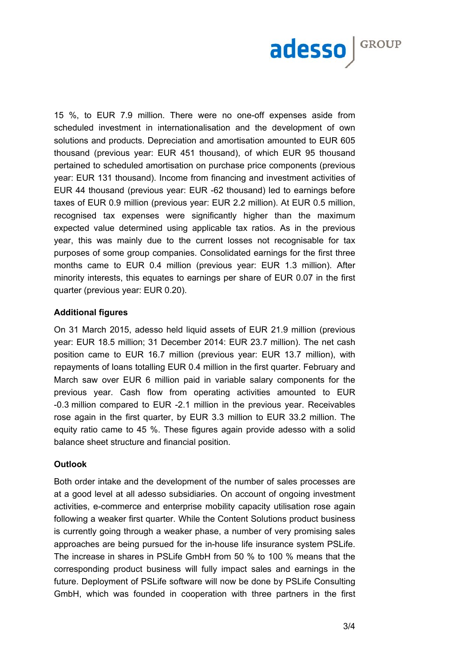adesso SRROUP

15 %, to EUR 7.9 million. There were no one-off expenses aside from scheduled investment in internationalisation and the development of own solutions and products. Depreciation and amortisation amounted to EUR 605 thousand (previous year: EUR 451 thousand), of which EUR 95 thousand pertained to scheduled amortisation on purchase price components (previous year: EUR 131 thousand). Income from financing and investment activities of EUR 44 thousand (previous year: EUR -62 thousand) led to earnings before taxes of EUR 0.9 million (previous year: EUR 2.2 million). At EUR 0.5 million, recognised tax expenses were significantly higher than the maximum expected value determined using applicable tax ratios. As in the previous year, this was mainly due to the current losses not recognisable for tax purposes of some group companies. Consolidated earnings for the first three months came to EUR 0.4 million (previous year: EUR 1.3 million). After minority interests, this equates to earnings per share of EUR 0.07 in the first quarter (previous year: EUR 0.20).

## **Additional figures**

On 31 March 2015, adesso held liquid assets of EUR 21.9 million (previous year: EUR 18.5 million; 31 December 2014: EUR 23.7 million). The net cash position came to EUR 16.7 million (previous year: EUR 13.7 million), with repayments of loans totalling EUR 0.4 million in the first quarter. February and March saw over EUR 6 million paid in variable salary components for the previous year. Cash flow from operating activities amounted to EUR -0.3 million compared to EUR -2.1 million in the previous year. Receivables rose again in the first quarter, by EUR 3.3 million to EUR 33.2 million. The equity ratio came to 45 %. These figures again provide adesso with a solid balance sheet structure and financial position.

### **Outlook**

Both order intake and the development of the number of sales processes are at a good level at all adesso subsidiaries. On account of ongoing investment activities, e-commerce and enterprise mobility capacity utilisation rose again following a weaker first quarter. While the Content Solutions product business is currently going through a weaker phase, a number of very promising sales approaches are being pursued for the in-house life insurance system PSLife. The increase in shares in PSLife GmbH from 50 % to 100 % means that the corresponding product business will fully impact sales and earnings in the future. Deployment of PSLife software will now be done by PSLife Consulting GmbH, which was founded in cooperation with three partners in the first